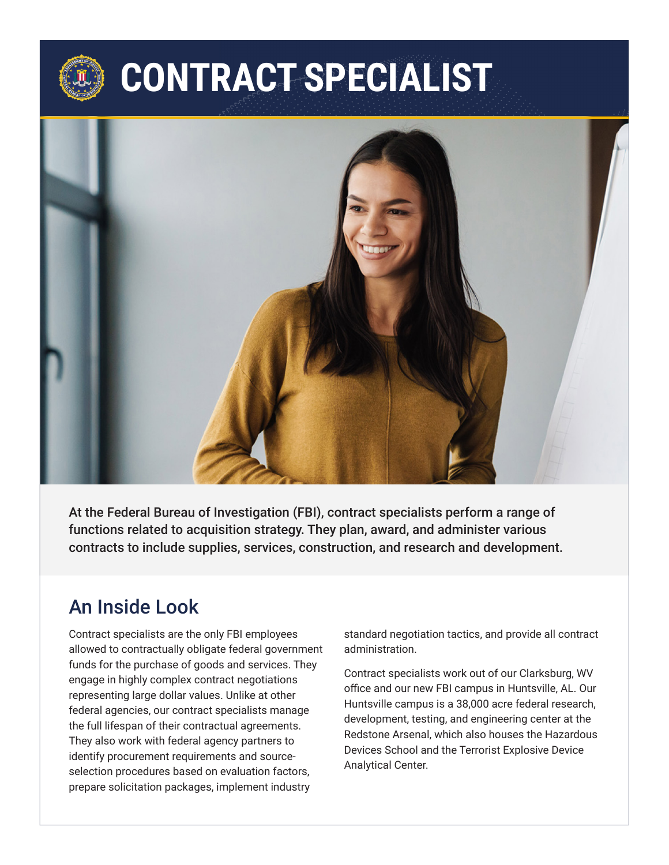# **CONTRACT SPECIALIST**



At the Federal Bureau of Investigation (FBI), contract specialists perform a range of functions related to acquisition strategy. They plan, award, and administer various contracts to include supplies, services, construction, and research and development.

#### An Inside Look

Contract specialists are the only FBI employees allowed to contractually obligate federal government funds for the purchase of goods and services. They engage in highly complex contract negotiations representing large dollar values. Unlike at other federal agencies, our contract specialists manage the full lifespan of their contractual agreements. They also work with federal agency partners to identify procurement requirements and sourceselection procedures based on evaluation factors, prepare solicitation packages, implement industry

standard negotiation tactics, and provide all contract administration.

Contract specialists work out of our Clarksburg, WV office and our new FBI campus in Huntsville, AL. Our Huntsville campus is a 38,000 acre federal research, development, testing, and engineering center at the Redstone Arsenal, which also houses the Hazardous Devices School and the Terrorist Explosive Device Analytical Center.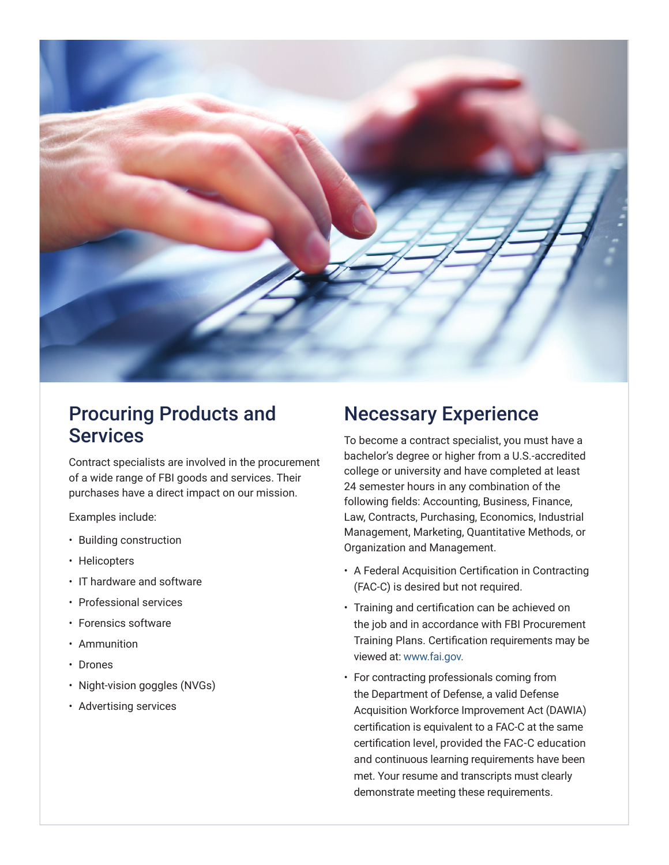

#### Procuring Products and **Services**

Contract specialists are involved in the procurement of a wide range of FBI goods and services. Their purchases have a direct impact on our mission.

Examples include:

- Building construction
- Helicopters
- IT hardware and software
- Professional services
- Forensics software
- Ammunition
- Drones
- Night-vision goggles (NVGs)
- Advertising services

#### Necessary Experience

To become a contract specialist, you must have a bachelor's degree or higher from a U.S.-accredited college or university and have completed at least 24 semester hours in any combination of the following fields: Accounting, Business, Finance, Law, Contracts, Purchasing, Economics, Industrial Management, Marketing, Quantitative Methods, or Organization and Management.

- A Federal Acquisition Certification in Contracting (FAC-C) is desired but not required.
- Training and certification can be achieved on the job and in accordance with FBI Procurement Training Plans. Certification requirements may be viewed at: www.fai.gov.
- For contracting professionals coming from the Department of Defense, a valid Defense Acquisition Workforce Improvement Act (DAWIA) certification is equivalent to a FAC-C at the same certification level, provided the FAC-C education and continuous learning requirements have been met. Your resume and transcripts must clearly demonstrate meeting these requirements.